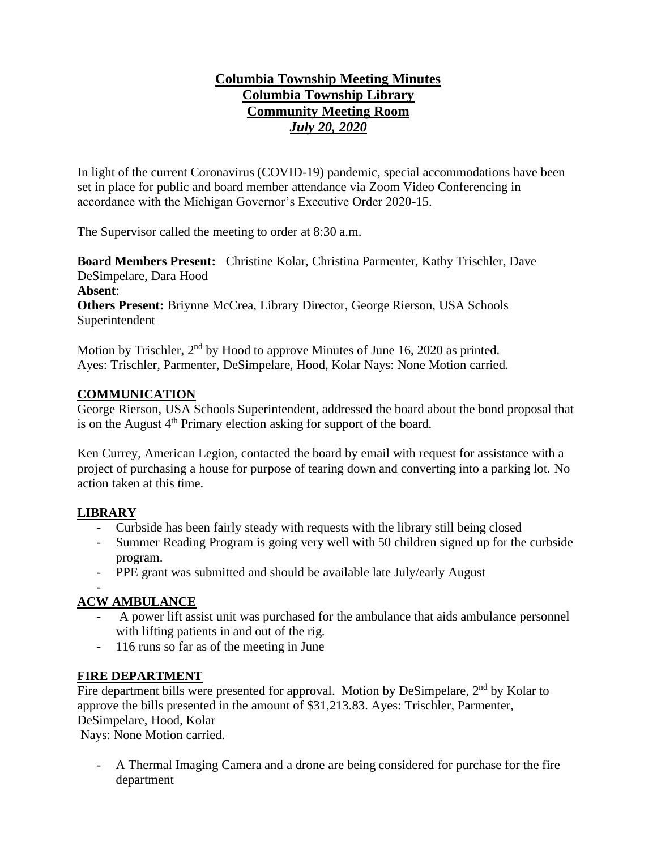# **Columbia Township Meeting Minutes Columbia Township Library Community Meeting Room** *July 20, 2020*

In light of the current Coronavirus (COVID-19) pandemic, special accommodations have been set in place for public and board member attendance via Zoom Video Conferencing in accordance with the Michigan Governor's Executive Order 2020-15.

The Supervisor called the meeting to order at 8:30 a.m.

**Board Members Present:** Christine Kolar, Christina Parmenter, Kathy Trischler, Dave DeSimpelare, Dara Hood

**Absent**:

**Others Present:** Briynne McCrea, Library Director, George Rierson, USA Schools Superintendent

Motion by Trischler, 2<sup>nd</sup> by Hood to approve Minutes of June 16, 2020 as printed. Ayes: Trischler, Parmenter, DeSimpelare, Hood, Kolar Nays: None Motion carried.

### **COMMUNICATION**

George Rierson, USA Schools Superintendent, addressed the board about the bond proposal that is on the August  $4<sup>th</sup>$  Primary election asking for support of the board.

Ken Currey, American Legion, contacted the board by email with request for assistance with a project of purchasing a house for purpose of tearing down and converting into a parking lot. No action taken at this time.

### **LIBRARY**

- Curbside has been fairly steady with requests with the library still being closed
- Summer Reading Program is going very well with 50 children signed up for the curbside program.
- PPE grant was submitted and should be available late July/early August

### -

# **ACW AMBULANCE**

- A power lift assist unit was purchased for the ambulance that aids ambulance personnel with lifting patients in and out of the rig.
- 116 runs so far as of the meeting in June

# **FIRE DEPARTMENT**

Fire department bills were presented for approval. Motion by DeSimpelare,  $2<sup>nd</sup>$  by Kolar to approve the bills presented in the amount of \$31,213.83. Ayes: Trischler, Parmenter, DeSimpelare, Hood, Kolar

Nays: None Motion carried.

- A Thermal Imaging Camera and a drone are being considered for purchase for the fire department